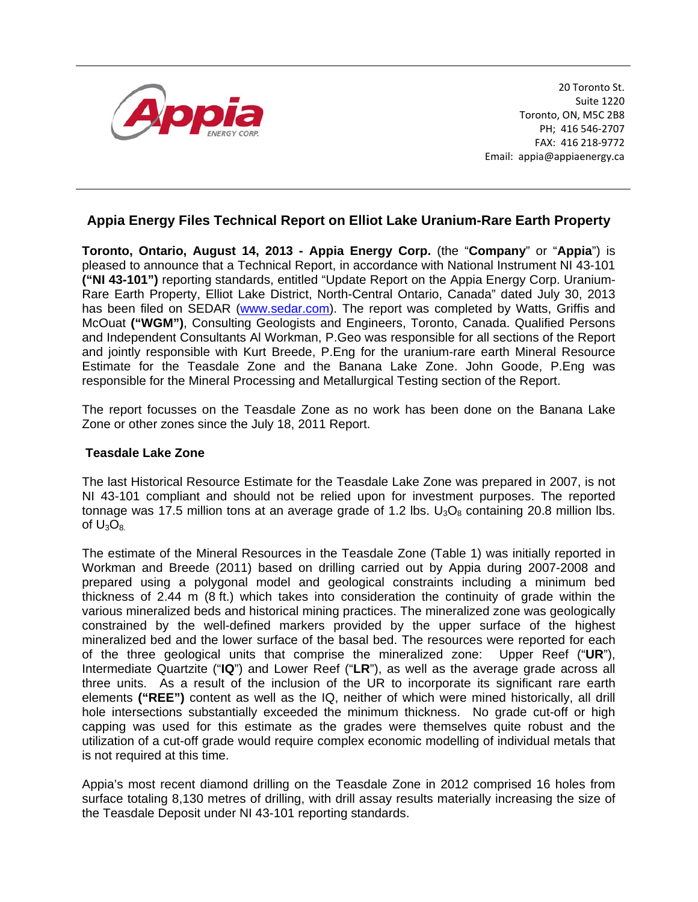

20 Toronto St. Suite 1220 Toronto, ON, M5C 2B8 PH; 416 546‐2707 FAX: 416 218‐9772 Email: appia@appiaenergy.ca

## **Appia Energy Files Technical Report on Elliot Lake Uranium-Rare Earth Property**

**Toronto, Ontario, August 14, 2013 - Appia Energy Corp.** (the "**Company**" or "**Appia**") is pleased to announce that a Technical Report, in accordance with National Instrument NI 43-101 **("NI 43-101")** reporting standards, entitled "Update Report on the Appia Energy Corp. Uranium-Rare Earth Property, Elliot Lake District, North-Central Ontario, Canada" dated July 30, 2013 has been filed on SEDAR (www.sedar.com). The report was completed by Watts, Griffis and McOuat **("WGM")**, Consulting Geologists and Engineers, Toronto, Canada. Qualified Persons and Independent Consultants Al Workman, P.Geo was responsible for all sections of the Report and jointly responsible with Kurt Breede, P.Eng for the uranium-rare earth Mineral Resource Estimate for the Teasdale Zone and the Banana Lake Zone. John Goode, P.Eng was responsible for the Mineral Processing and Metallurgical Testing section of the Report.

The report focusses on the Teasdale Zone as no work has been done on the Banana Lake Zone or other zones since the July 18, 2011 Report.

## **Teasdale Lake Zone**

The last Historical Resource Estimate for the Teasdale Lake Zone was prepared in 2007, is not NI 43-101 compliant and should not be relied upon for investment purposes. The reported tonnage was 17.5 million tons at an average grade of 1.2 lbs.  $U_3O_8$  containing 20.8 million lbs. of  $U_3O_8$ .

The estimate of the Mineral Resources in the Teasdale Zone (Table 1) was initially reported in Workman and Breede (2011) based on drilling carried out by Appia during 2007-2008 and prepared using a polygonal model and geological constraints including a minimum bed thickness of 2.44 m (8 ft.) which takes into consideration the continuity of grade within the various mineralized beds and historical mining practices. The mineralized zone was geologically constrained by the well-defined markers provided by the upper surface of the highest mineralized bed and the lower surface of the basal bed. The resources were reported for each of the three geological units that comprise the mineralized zone: Upper Reef ("**UR**"), Intermediate Quartzite ("**IQ**") and Lower Reef ("**LR**"), as well as the average grade across all three units. As a result of the inclusion of the UR to incorporate its significant rare earth elements **("REE")** content as well as the IQ, neither of which were mined historically, all drill hole intersections substantially exceeded the minimum thickness. No grade cut-off or high capping was used for this estimate as the grades were themselves quite robust and the utilization of a cut-off grade would require complex economic modelling of individual metals that is not required at this time.

Appia's most recent diamond drilling on the Teasdale Zone in 2012 comprised 16 holes from surface totaling 8,130 metres of drilling, with drill assay results materially increasing the size of the Teasdale Deposit under NI 43-101 reporting standards.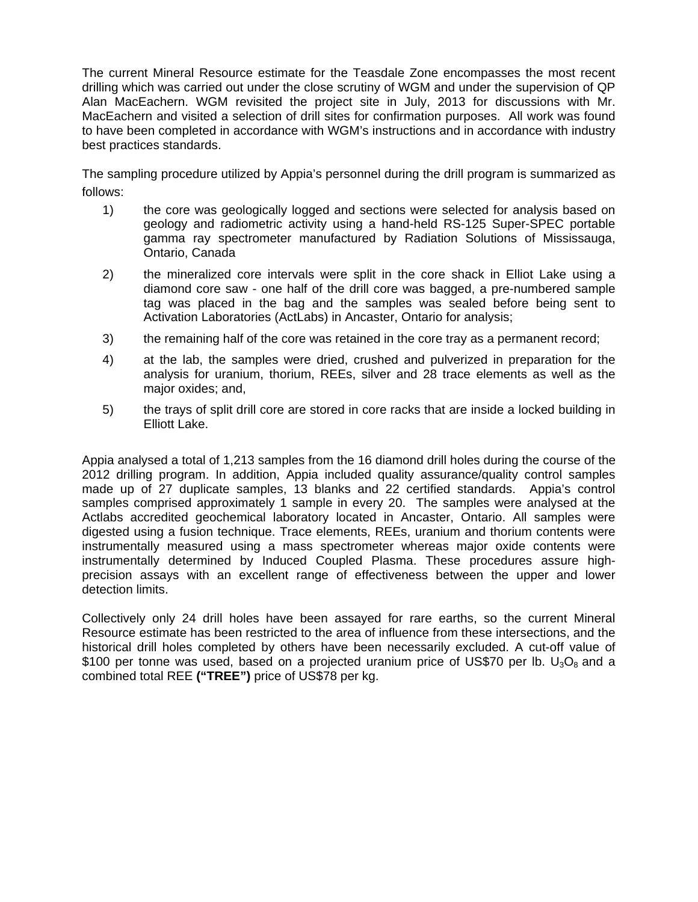The current Mineral Resource estimate for the Teasdale Zone encompasses the most recent drilling which was carried out under the close scrutiny of WGM and under the supervision of QP Alan MacEachern. WGM revisited the project site in July, 2013 for discussions with Mr. MacEachern and visited a selection of drill sites for confirmation purposes. All work was found to have been completed in accordance with WGM's instructions and in accordance with industry best practices standards.

The sampling procedure utilized by Appia's personnel during the drill program is summarized as follows:

- 1) the core was geologically logged and sections were selected for analysis based on geology and radiometric activity using a hand-held RS-125 Super-SPEC portable gamma ray spectrometer manufactured by Radiation Solutions of Mississauga, Ontario, Canada
- 2) the mineralized core intervals were split in the core shack in Elliot Lake using a diamond core saw - one half of the drill core was bagged, a pre-numbered sample tag was placed in the bag and the samples was sealed before being sent to Activation Laboratories (ActLabs) in Ancaster, Ontario for analysis;
- 3) the remaining half of the core was retained in the core tray as a permanent record;
- 4) at the lab, the samples were dried, crushed and pulverized in preparation for the analysis for uranium, thorium, REEs, silver and 28 trace elements as well as the major oxides; and,
- 5) the trays of split drill core are stored in core racks that are inside a locked building in Elliott Lake.

Appia analysed a total of 1,213 samples from the 16 diamond drill holes during the course of the 2012 drilling program. In addition, Appia included quality assurance/quality control samples made up of 27 duplicate samples, 13 blanks and 22 certified standards. Appia's control samples comprised approximately 1 sample in every 20. The samples were analysed at the Actlabs accredited geochemical laboratory located in Ancaster, Ontario. All samples were digested using a fusion technique. Trace elements, REEs, uranium and thorium contents were instrumentally measured using a mass spectrometer whereas major oxide contents were instrumentally determined by Induced Coupled Plasma. These procedures assure highprecision assays with an excellent range of effectiveness between the upper and lower detection limits.

Collectively only 24 drill holes have been assayed for rare earths, so the current Mineral Resource estimate has been restricted to the area of influence from these intersections, and the historical drill holes completed by others have been necessarily excluded. A cut-off value of \$100 per tonne was used, based on a projected uranium price of US\$70 per lb.  $U_3O_8$  and a combined total REE **("TREE")** price of US\$78 per kg.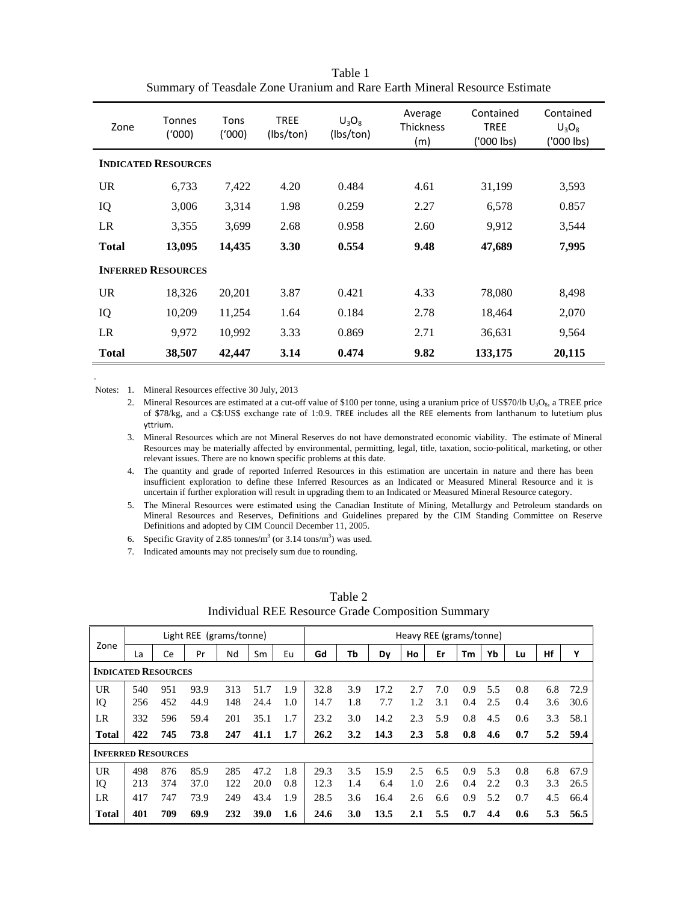| Zone                       | <b>Tonnes</b><br>(1000) | Tons<br>('000) | <b>TREE</b><br>(lbs/ton) | $U_3O_8$<br>(Ibs/ton) | Average<br><b>Thickness</b><br>(m) | Contained<br><b>TREE</b><br>('000 lbs) | Contained<br>$U_3O_8$<br>('000 lbs) |
|----------------------------|-------------------------|----------------|--------------------------|-----------------------|------------------------------------|----------------------------------------|-------------------------------------|
| <b>INDICATED RESOURCES</b> |                         |                |                          |                       |                                    |                                        |                                     |
| <b>UR</b>                  | 6,733                   | 7,422          | 4.20                     | 0.484                 | 4.61                               | 31,199                                 | 3,593                               |
| IQ                         | 3,006                   | 3,314          | 1.98                     | 0.259                 | 2.27                               | 6,578                                  | 0.857                               |
| LR                         | 3,355                   | 3,699          | 2.68                     | 0.958                 | 2.60                               | 9,912                                  | 3,544                               |
| <b>Total</b>               | 13,095                  | 14,435         | 3.30                     | 0.554                 | 9.48                               | 47,689                                 | 7,995                               |
| <b>INFERRED RESOURCES</b>  |                         |                |                          |                       |                                    |                                        |                                     |
| <b>UR</b>                  | 18,326                  | 20,201         | 3.87                     | 0.421                 | 4.33                               | 78,080                                 | 8,498                               |
| IQ                         | 10,209                  | 11,254         | 1.64                     | 0.184                 | 2.78                               | 18,464                                 | 2,070                               |
| LR                         | 9,972                   | 10,992         | 3.33                     | 0.869                 | 2.71                               | 36,631                                 | 9,564                               |
| <b>Total</b>               | 38,507                  | 42,447         | 3.14                     | 0.474                 | 9.82                               | 133,175                                | 20,115                              |

Table 1 Summary of Teasdale Zone Uranium and Rare Earth Mineral Resource Estimate

Notes: 1. Mineral Resources effective 30 July, 2013

 *.*

2. Mineral Resources are estimated at a cut-off value of \$100 per tonne, using a uranium price of US\$70/lb  $U_3O_8$ , a TREE price of \$78/kg, and a C\$:US\$ exchange rate of 1:0.9. TREE includes all the REE elements from lanthanum to lutetium plus yttrium.

3. Mineral Resources which are not Mineral Reserves do not have demonstrated economic viability. The estimate of Mineral Resources may be materially affected by environmental, permitting, legal, title, taxation, socio-political, marketing, or other relevant issues. There are no known specific problems at this date.

4. The quantity and grade of reported Inferred Resources in this estimation are uncertain in nature and there has been insufficient exploration to define these Inferred Resources as an Indicated or Measured Mineral Resource and it is uncertain if further exploration will result in upgrading them to an Indicated or Measured Mineral Resource category.

5. The Mineral Resources were estimated using the Canadian Institute of Mining, Metallurgy and Petroleum standards on Mineral Resources and Reserves, Definitions and Guidelines prepared by the CIM Standing Committee on Reserve Definitions and adopted by CIM Council December 11, 2005.

6. Specific Gravity of 2.85 tonnes/ $m^3$  (or 3.14 tons/ $m^3$ ) was used.

7. Indicated amounts may not precisely sum due to rounding.

|                            | Light REE (grams/tonne) |     |      |     | Heavy REE (grams/tonne) |     |      |     |      |     |     |     |     |     |     |      |
|----------------------------|-------------------------|-----|------|-----|-------------------------|-----|------|-----|------|-----|-----|-----|-----|-----|-----|------|
| Zone                       | La                      | Сe  | Pr   | Νd  | Sm                      | Eu  | Gd   | Tb  | Dv   | Ho  | Er  | Тm  | Yb  | Lu  | Hf  | Y    |
| <b>INDICATED RESOURCES</b> |                         |     |      |     |                         |     |      |     |      |     |     |     |     |     |     |      |
| <b>UR</b>                  | 540                     | 951 | 93.9 | 313 | 51.7                    | 1.9 | 32.8 | 3.9 | 17.2 | 2.7 | 7.0 | 0.9 | 5.5 | 0.8 | 6.8 | 72.9 |
| IQ                         | 256                     | 452 | 44.9 | 148 | 24.4                    | 1.0 | 14.7 | 1.8 | 7.7  | 1.2 | 3.1 | 0.4 | 2.5 | 0.4 | 3.6 | 30.6 |
| LR                         | 332                     | 596 | 59.4 | 201 | 35.1                    | 1.7 | 23.2 | 3.0 | 14.2 | 2.3 | 5.9 | 0.8 | 4.5 | 0.6 | 3.3 | 58.1 |
| <b>Total</b>               | 422                     | 745 | 73.8 | 247 | 41.1                    | 1.7 | 26.2 | 3.2 | 14.3 | 2.3 | 5.8 | 0.8 | 4.6 | 0.7 | 5.2 | 59.4 |
| <b>INFERRED RESOURCES</b>  |                         |     |      |     |                         |     |      |     |      |     |     |     |     |     |     |      |
| <b>UR</b>                  | 498                     | 876 | 85.9 | 285 | 47.2                    | 1.8 | 29.3 | 3.5 | 15.9 | 2.5 | 6.5 | 0.9 | 5.3 | 0.8 | 6.8 | 67.9 |
| IQ                         | 213                     | 374 | 37.0 | 122 | 20.0                    | 0.8 | 12.3 | 1.4 | 6.4  | 1.0 | 2.6 | 0.4 | 2.2 | 0.3 | 3.3 | 26.5 |
| LR                         | 417                     | 747 | 73.9 | 249 | 43.4                    | 1.9 | 28.5 | 3.6 | 16.4 | 2.6 | 6.6 | 0.9 | 5.2 | 0.7 | 4.5 | 66.4 |
| <b>Total</b>               | 401                     | 709 | 69.9 | 232 | 39.0                    | 1.6 | 24.6 | 3.0 | 13.5 | 2.1 | 5.5 | 0.7 | 4.4 | 0.6 | 5.3 | 56.5 |

Table 2 Individual REE Resource Grade Composition Summary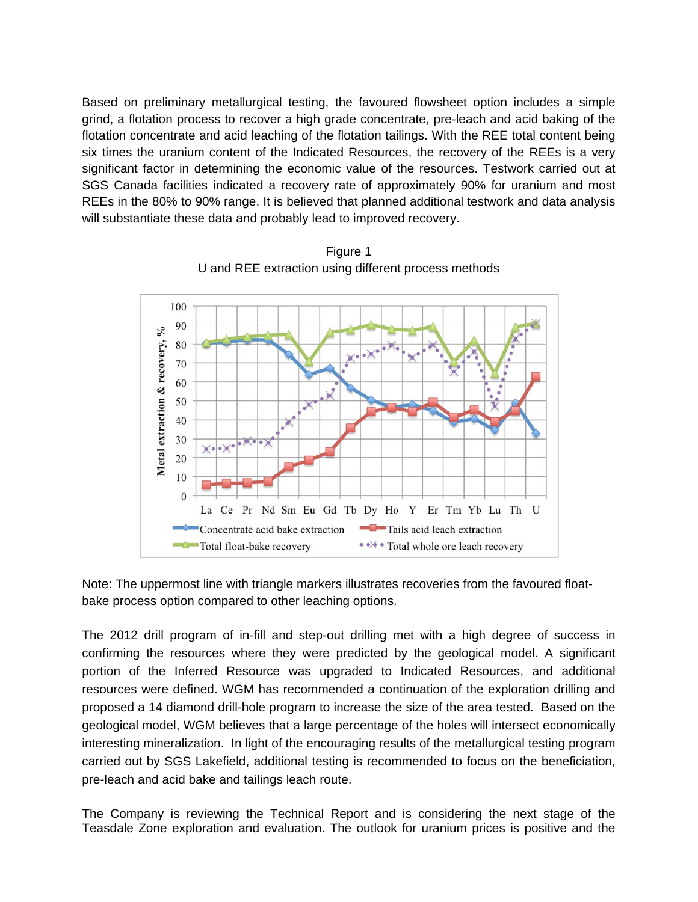Based on preliminary metallurgical testing, the favoured flowsheet option includes a simple grind, a flotation process to recover a high grade concentrate, pre-leach and acid baking of the flotation concentrate and acid leaching of the flotation tailings. With the REE total content being six times the uranium content of the Indicated Resources, the recovery of the REEs is a very significant factor in determining the economic value of the resources. Testwork carried out at SGS Canada facilities indicated a recovery rate of approximately 90% for uranium and most REEs in the 80% to 90% range. It is believed that planned additional testwork and data analysis will substantiate these data and probably lead to improved recovery.



Figure 1 U and REE extraction using different process methods

Note: The uppermost line with triangle markers illustrates recoveries from the favoured floatbake process option compared to other leaching options.

The 2012 drill program of in-fill and step-out drilling met with a high degree of success in confirming the resources where they were predicted by the geological model. A significant portion of the Inferred Resource was upgraded to Indicated Resources, and additional resources were defined. WGM has recommended a continuation of the exploration drilling and proposed a 14 diamond drill-hole program to increase the size of the area tested. Based on the geological model, WGM believes that a large percentage of the holes will intersect economically interesting mineralization. In light of the encouraging results of the metallurgical testing program carried out by SGS Lakefield, additional testing is recommended to focus on the beneficiation, pre-leach and acid bake and tailings leach route.

The Company is reviewing the Technical Report and is considering the next stage of the Teasdale Zone exploration and evaluation. The outlook for uranium prices is positive and the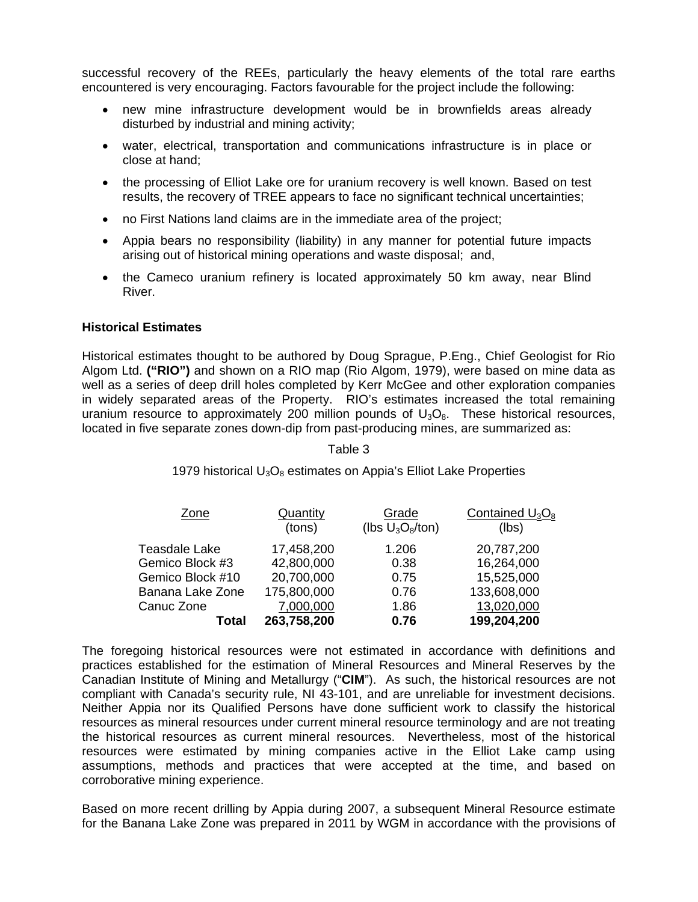successful recovery of the REEs, particularly the heavy elements of the total rare earths encountered is very encouraging. Factors favourable for the project include the following:

- new mine infrastructure development would be in brownfields areas already disturbed by industrial and mining activity;
- water, electrical, transportation and communications infrastructure is in place or close at hand;
- the processing of Elliot Lake ore for uranium recovery is well known. Based on test results, the recovery of TREE appears to face no significant technical uncertainties;
- no First Nations land claims are in the immediate area of the project;
- Appia bears no responsibility (liability) in any manner for potential future impacts arising out of historical mining operations and waste disposal; and,
- the Cameco uranium refinery is located approximately 50 km away, near Blind River.

## **Historical Estimates**

Historical estimates thought to be authored by Doug Sprague, P.Eng., Chief Geologist for Rio Algom Ltd. **("RIO")** and shown on a RIO map (Rio Algom, 1979), were based on mine data as well as a series of deep drill holes completed by Kerr McGee and other exploration companies in widely separated areas of the Property. RIO's estimates increased the total remaining uranium resource to approximately 200 million pounds of  $U_3O_8$ . These historical resources, located in five separate zones down-dip from past-producing mines, are summarized as:

## Table 3

1979 historical  $U_3O_8$  estimates on Appia's Elliot Lake Properties

| Zone             | Quantity    | Grade               | Contained $U_3O_8$ |
|------------------|-------------|---------------------|--------------------|
|                  | (tons)      | (lbs $U_3O_8$ /ton) | (lbs)              |
| Teasdale Lake    | 17,458,200  | 1.206               | 20,787,200         |
| Gemico Block #3  | 42,800,000  | 0.38                | 16,264,000         |
| Gemico Block #10 | 20,700,000  | 0.75                | 15,525,000         |
| Banana Lake Zone | 175,800,000 | 0.76                | 133,608,000        |
| Canuc Zone       | 7,000,000   | 1.86                | 13,020,000         |
| Total            | 263,758,200 | 0.76                | 199,204,200        |

The foregoing historical resources were not estimated in accordance with definitions and practices established for the estimation of Mineral Resources and Mineral Reserves by the Canadian Institute of Mining and Metallurgy ("**CIM**"). As such, the historical resources are not compliant with Canada's security rule, NI 43-101, and are unreliable for investment decisions. Neither Appia nor its Qualified Persons have done sufficient work to classify the historical resources as mineral resources under current mineral resource terminology and are not treating the historical resources as current mineral resources. Nevertheless, most of the historical resources were estimated by mining companies active in the Elliot Lake camp using assumptions, methods and practices that were accepted at the time, and based on corroborative mining experience.

Based on more recent drilling by Appia during 2007, a subsequent Mineral Resource estimate for the Banana Lake Zone was prepared in 2011 by WGM in accordance with the provisions of